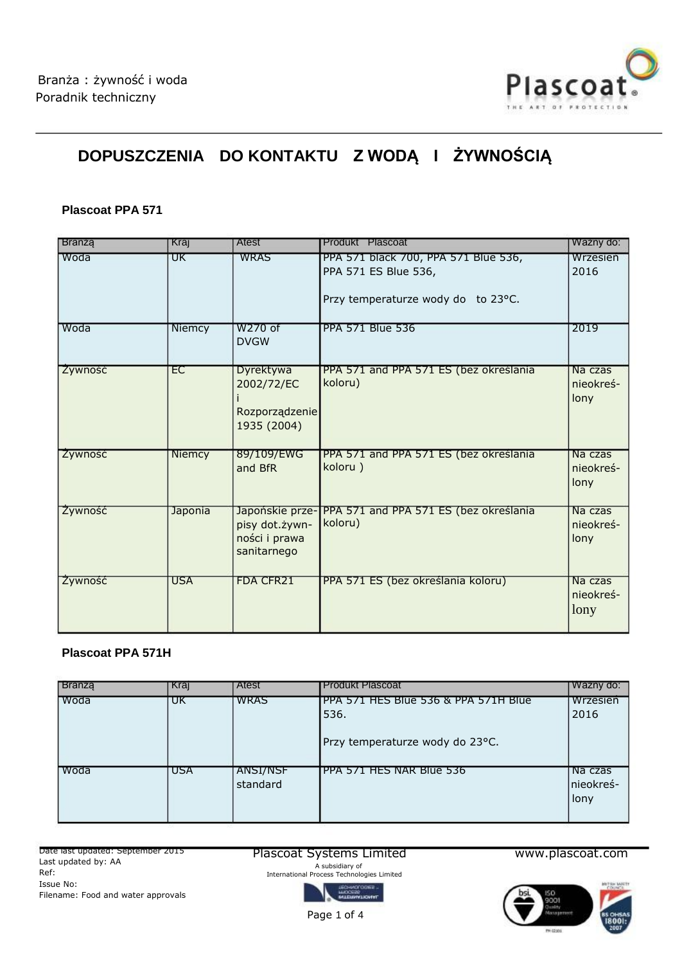

# **DOPUSZCZENIA DO KONTAKTU Z WODĄ I ŻYWNOŚCIĄ**

#### **Plascoat PPA 571**

| Branza  | Kraj           | Atest                                                             | Produkt Plascoat                                                                                   | Ważny do:                    |
|---------|----------------|-------------------------------------------------------------------|----------------------------------------------------------------------------------------------------|------------------------------|
| Woda    | UΚ             | <b>WRAS</b>                                                       | PPA 571 black 700, PPA 571 Blue 536,<br>PPA 571 ES Blue 536,<br>Przy temperaturze wody do to 23°C. | Wrzesień<br>2016             |
| Woda    | <b>Niemcy</b>  | W270 of<br><b>DVGW</b>                                            | <b>PPA 571 Blue 536</b>                                                                            | 2019                         |
| Zywność | EC             | Dyrektywa<br>2002/72/EC<br>Rozporządzenie<br>1935 (2004)          | PPA 571 and PPA 571 ES (bez określania<br>koloru)                                                  | Na czas<br>nieokreś-<br>lony |
| Zywność | Niemcy         | 89/109/EWG<br>and BfR                                             | PPA 571 and PPA 571 ES (bez określania<br>koloru)                                                  | Na czas<br>nieokreś-<br>lony |
| Zywność | <b>Japonia</b> | Japońskie prze-<br>pisy dot.żywn-<br>ności i prawa<br>sanitarnego | PPA 571 and PPA 571 ES (bez określania<br>koloru)                                                  | Na czas<br>nieokreś-<br>lony |
| Zywność | <b>USA</b>     | <b>FDA CFR21</b>                                                  | PPA 571 ES (bez określania koloru)                                                                 | Na czas<br>nieokreś-<br>lony |

## **Plascoat PPA 571H**

| <b>Branza</b> | Kraj | <b>Atest</b>                | <b>Produkt Plascoat</b>                                                         | Ważny do:                    |
|---------------|------|-----------------------------|---------------------------------------------------------------------------------|------------------------------|
| Woda          | UΚ   | <b>WRAS</b>                 | PPA 571 HES Blue 536 & PPA 571H Blue<br>536.<br>Przy temperaturze wody do 23°C. | Wrzesień<br>2016             |
| Woda          | USA  | <b>ANSI/NSF</b><br>standard | PPA 571 HES NAR Blue 536                                                        | Na czas<br>nieokreś-<br>lony |

Date last updated: September 2015 Last updated by: AA Ref: Issue No: Filename: Food and water approvals

#### Plascoat Systems Limited

A subsidiary of International Process Technologies Limited

www.plascoat.com



Page 1 of 4

**Line**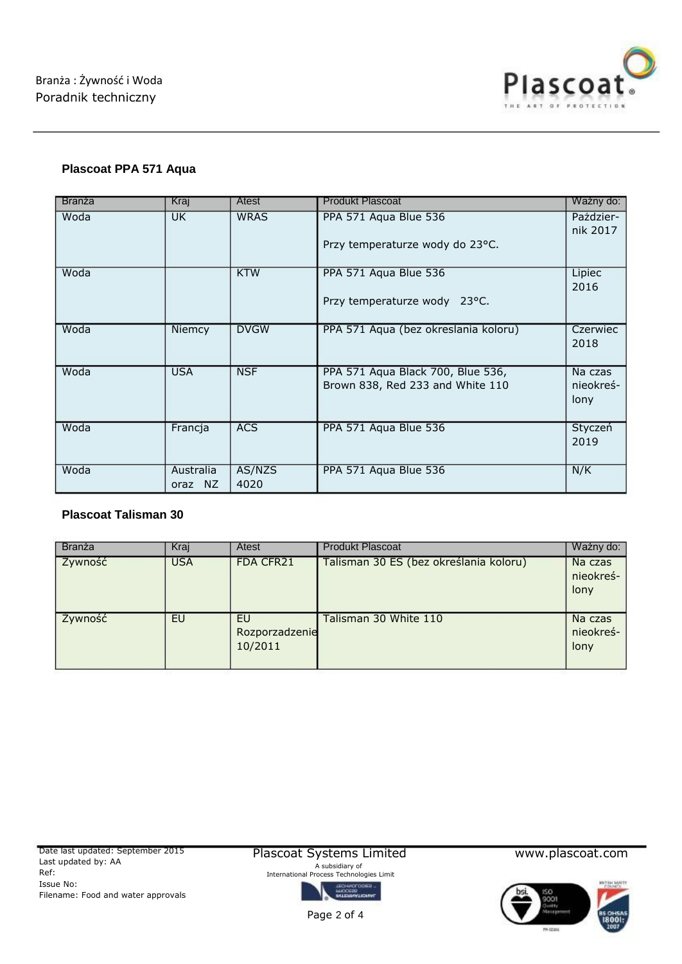

# **Plascoat PPA 571 Aqua**

| <b>Branza</b> | Kraj       | Atest       | <b>Produkt Plascoat</b>              | Ważny do:             |
|---------------|------------|-------------|--------------------------------------|-----------------------|
| Woda          | <b>UK</b>  | <b>WRAS</b> | PPA 571 Aqua Blue 536                | Pażdzier-<br>nik 2017 |
|               |            |             | Przy temperaturze wody do 23°C.      |                       |
| Woda          |            | <b>KTW</b>  | PPA 571 Aqua Blue 536                | Lipiec<br>2016        |
|               |            |             | Przy temperaturze wody 23°C.         |                       |
| Woda          | Niemcy     | <b>DVGW</b> | PPA 571 Aqua (bez okreslania koloru) | Czerwiec<br>2018      |
|               |            |             |                                      |                       |
| Woda          | <b>USA</b> | <b>NSF</b>  | PPA 571 Aqua Black 700, Blue 536,    | Na czas               |
|               |            |             | Brown 838, Red 233 and White 110     | nieokreś-<br>lony     |
|               |            |             |                                      |                       |
| Woda          | Francja    | <b>ACS</b>  | PPA 571 Aqua Blue 536                | Styczeń               |
|               |            |             |                                      | 2019                  |
| Woda          | Australia  | AS/NZS      | PPA 571 Aqua Blue 536                | N/K                   |
|               | oraz NZ    | 4020        |                                      |                       |

## **Plascoat Talisman 30**

| Branza  | Kraj       | Atest                           | <b>Produkt Plascoat</b>                | Wazny do:                    |
|---------|------------|---------------------------------|----------------------------------------|------------------------------|
| Zywność | <b>USA</b> | <b>FDA CFR21</b>                | Talisman 30 ES (bez określania koloru) | Na czas<br>nieokreś-<br>lony |
| Zywność | EU         | EU<br>Rozporzadzenie<br>10/2011 | Talisman 30 White 110                  | Na czas<br>nieokreś-<br>lony |

Plascoat Systems Limited A subsidiary of International Process Technologies Limit



www.plascoat.com



Page 2 of 4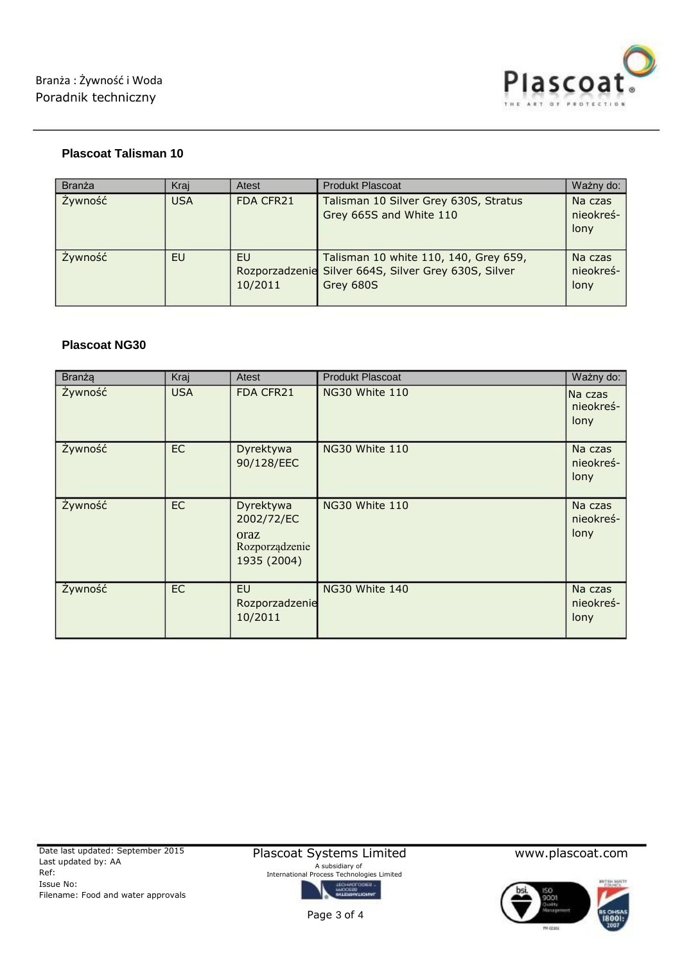

# **Plascoat Talisman 10**

| Branza  | Krai       | Atest            | <b>Produkt Plascoat</b>                                                                                    | Ważny do:                    |
|---------|------------|------------------|------------------------------------------------------------------------------------------------------------|------------------------------|
| Żywność | <b>USA</b> | <b>FDA CFR21</b> | Talisman 10 Silver Grey 630S, Stratus<br>Grey 665S and White 110                                           | Na czas<br>nieokreś-<br>lony |
| Żywność | EU         | EU<br>10/2011    | Talisman 10 white 110, 140, Grey 659,<br>Rozporzadzenie Silver 664S, Silver Grey 630S, Silver<br>Grey 680S | Na czas<br>nieokreś-<br>lony |

#### **Plascoat NG30**

| Branza  | Kraj       | Atest                                                            | <b>Produkt Plascoat</b> | Ważny do:                    |
|---------|------------|------------------------------------------------------------------|-------------------------|------------------------------|
| Żywność | <b>USA</b> | FDA CFR21                                                        | NG30 White 110          | Na czas<br>nieokreś-<br>lony |
| Żywność | <b>EC</b>  | Dyrektywa<br>90/128/EEC                                          | NG30 White 110          | Na czas<br>nieokreś-<br>lony |
| Żywność | <b>EC</b>  | Dyrektywa<br>2002/72/EC<br>oraz<br>Rozporządzenie<br>1935 (2004) | NG30 White 110          | Na czas<br>nieokreś-<br>lony |
| Żywność | <b>EC</b>  | <b>EU</b><br>Rozporzadzenie<br>10/2011                           | NG30 White 140          | Na czas<br>nieokreś-<br>lony |

Plascoat Systems Limited A subsidiary of International Process Technologies Limited

www.plascoat.com



Page 3 of 4